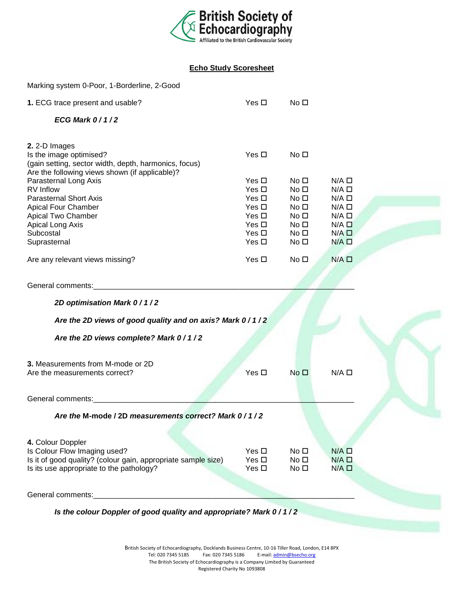

## **Echo Study Scoresheet**

| Marking system 0-Poor, 1-Borderline, 2-Good                                                                                        |                          |                                    |                                    |  |
|------------------------------------------------------------------------------------------------------------------------------------|--------------------------|------------------------------------|------------------------------------|--|
| 1. ECG trace present and usable?                                                                                                   | Yes $\Box$               | No <sub>1</sub>                    |                                    |  |
| ECG Mark $0/1/2$                                                                                                                   |                          |                                    |                                    |  |
| 2. 2-D Images                                                                                                                      |                          |                                    |                                    |  |
| Is the image optimised?<br>(gain setting, sector width, depth, harmonics, focus)<br>Are the following views shown (if applicable)? | Yes $\Box$               | No <sub>1</sub>                    |                                    |  |
| Parasternal Long Axis                                                                                                              | Yes $\Box$               | No <sub>1</sub>                    | $N/A$ $\square$                    |  |
| RV Inflow                                                                                                                          | Yes $\Box$               | No <sub>1</sub>                    | $N/A$ $\square$                    |  |
| <b>Parasternal Short Axis</b><br>Apical Four Chamber                                                                               | Yes $\Box$<br>Yes $\Box$ | No <sub>1</sub><br>No <sub>1</sub> | $N/A$ $\square$<br>$N/A$ $\square$ |  |
| Apical Two Chamber                                                                                                                 | Yes $\Box$               | No <sub>1</sub>                    | $N/A$ $\square$                    |  |
| Apical Long Axis                                                                                                                   | Yes $\Box$               | No <sub>1</sub>                    | $N/A$ $\square$                    |  |
| Subcostal                                                                                                                          | Yes $\Box$               | No <sub>1</sub>                    | $N/A$ $\square$                    |  |
| Suprasternal                                                                                                                       | Yes $\Box$               | No <sub>1</sub>                    | $N/A$ $\square$                    |  |
| Are any relevant views missing?                                                                                                    | Yes $\Box$               | No <sub>1</sub>                    | $N/A$ $\square$                    |  |
| General comments:                                                                                                                  |                          |                                    |                                    |  |
| 2D optimisation Mark 0 / 1 / 2                                                                                                     |                          |                                    |                                    |  |
| Are the 2D views of good quality and on axis? Mark 0/1/2                                                                           |                          |                                    |                                    |  |
| Are the 2D views complete? Mark 0/1/2                                                                                              |                          |                                    |                                    |  |
| 3. Measurements from M-mode or 2D                                                                                                  |                          |                                    |                                    |  |
| Are the measurements correct?                                                                                                      | Yes $\Box$               | No <sub>1</sub>                    | $N/A$ $\square$                    |  |
| General comments:                                                                                                                  |                          |                                    |                                    |  |
| Are the M-mode / 2D measurements correct? Mark 0/1/2                                                                               |                          |                                    |                                    |  |
|                                                                                                                                    |                          |                                    |                                    |  |
| 4. Colour Doppler<br>Is Colour Flow Imaging used?                                                                                  | Yes $\Box$               | No <sub>1</sub>                    | $N/A$ $\square$                    |  |
| Is it of good quality? (colour gain, appropriate sample size)                                                                      | Yes $\Box$               | No <sub>1</sub>                    | $N/A$ $\square$                    |  |
| Is its use appropriate to the pathology?                                                                                           | Yes $\Box$               | No <sub>1</sub>                    | $N/A$ $\square$                    |  |
| General comments:                                                                                                                  |                          |                                    |                                    |  |
|                                                                                                                                    |                          |                                    |                                    |  |
| Is the colour Doppler of good quality and appropriate? Mark 0/1/2                                                                  |                          |                                    |                                    |  |
|                                                                                                                                    |                          |                                    |                                    |  |
|                                                                                                                                    |                          |                                    |                                    |  |